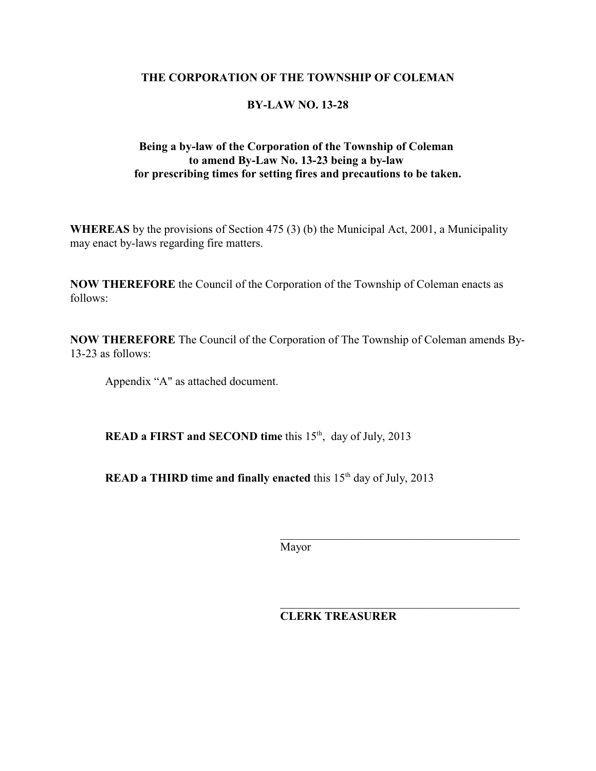#### **THE CORPORATION OF THE TOWNSHIP OF COLEMAN**

## **BY-LAW NO. 13-28**

## **Being a by-law of the Corporation of the Township of Coleman to amend By-Law No. 13-23 being a by-law for prescribing times for setting fires and precautions to be taken.**

**WHEREAS** by the provisions of Section 475 (3) (b) the Municipal Act, 2001, a Municipality may enact by-laws regarding fire matters.

**NOW THEREFORE** the Council of the Corporation of the Township of Coleman enacts as follows:

**NOW THEREFORE** The Council of the Corporation of The Township of Coleman amends By-13-23 as follows:

Appendix "A" as attached document.

**READ a FIRST and SECOND time** this 15<sup>th</sup>, day of July, 2013

**READ a THIRD time and finally enacted** this 15<sup>th</sup> day of July, 2013

Mayor

 $\overline{\phantom{a}}$  , and the contract of the contract of the contract of the contract of the contract of the contract of the contract of the contract of the contract of the contract of the contract of the contract of the contrac

**CLERK TREASURER**